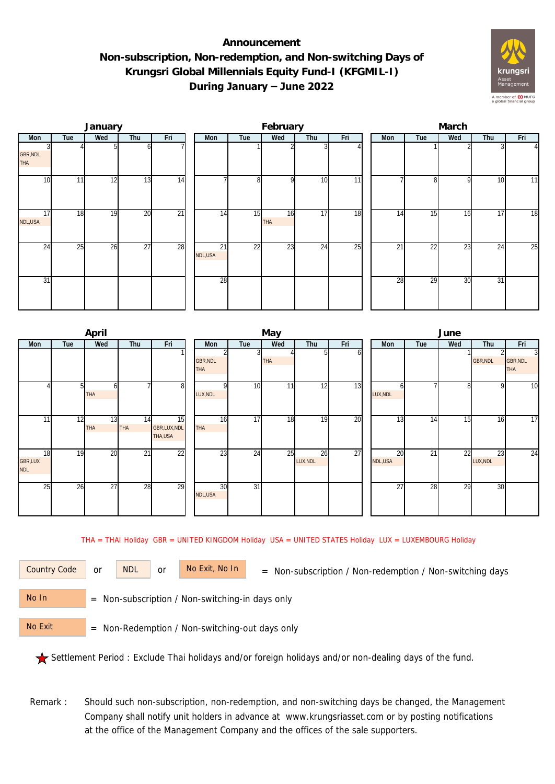## **Announcement Non-subscription, Non-redemption, and Non-switching Days of Krungsri Global Millennials Equity Fund-I (KFGMIL-I) During January – June 2022**



|                        |     | January |                 |                 |               |                 | February  |     |                 | March |     |     |     |                |  |  |
|------------------------|-----|---------|-----------------|-----------------|---------------|-----------------|-----------|-----|-----------------|-------|-----|-----|-----|----------------|--|--|
| Mon                    | Tue | Wed     | Thu             | Fri             | Mon           | Tue             | Wed       | Thu | Fri             | Mon   | Tue | Wed | Thu | Fri            |  |  |
| GBR, NDL<br><b>THA</b> |     |         | ωI              |                 |               |                 |           |     |                 |       |     |     |     | $\overline{4}$ |  |  |
| 10                     | 11  | 12      | 13              | 14              |               | 8               | οI        | 10  | 11              |       | 81  | 9   | 10  | 11             |  |  |
| 17<br>NDL,USA          | 18  | 19      | 20              | $\overline{21}$ | 14            | 15              | 16<br>THA | 17  | $\overline{18}$ | 14    | 15  | 16  | 17  | 18             |  |  |
| 24                     | 25  | 26      | $\overline{27}$ | 28              | 21<br>NDL,USA | $\overline{22}$ | 23        | 24  | $\overline{25}$ | 21    | 22  | 23  | 24  | 25             |  |  |
| 31                     |     |         |                 |                 | 28            |                 |           |     |                 | 28    | 29  | 30  | 31  |                |  |  |

|                                    |     | April            |                 |                              |                               |                 | May        |                |     | June          |     |     |                |                                          |  |  |
|------------------------------------|-----|------------------|-----------------|------------------------------|-------------------------------|-----------------|------------|----------------|-----|---------------|-----|-----|----------------|------------------------------------------|--|--|
| <b>Mon</b>                         | Tue | Wed              | Thu             | Fri                          | Mon                           | Tue             | Wed        | Thu            | Fri | <b>Mon</b>    | Tue | Wed | Thu            | Fri                                      |  |  |
|                                    |     |                  |                 |                              | <b>GBR, NDL</b><br><b>THA</b> | $\overline{3}$  | <b>THA</b> | ы              | οı  |               |     |     | GBR, NDL       | $\overline{3}$<br>GBR, NDL<br><b>THA</b> |  |  |
|                                    | 51  | <b>THA</b>       |                 | 8                            | LUX, NDL                      | 10              | 11         | 12             | 13  | n<br>LUX, NDL |     | 81  | <sub>0</sub>   | $\overline{10}$                          |  |  |
| 11                                 | 12  | 13<br><b>THA</b> | 14<br>THA       | 15<br>GBR,LUX,NDL<br>THA,USA | 16<br><b>THA</b>              | 17              | 18         | 19             | 20  | 13            | 14  | 15  | 16             | $\overline{17}$                          |  |  |
| 18<br><b>GBR,LUX</b><br><b>NDL</b> | 19  | 20               | $\overline{21}$ | $2\overline{2}$              | 23                            | 24              | 25         | 26<br>LUX, NDL | 27  | 20<br>NDL,USA | 21  | 22  | 23<br>LUX, NDL | $\overline{24}$                          |  |  |
| 25                                 | 26  | $\overline{27}$  | 28              | 29                           | 30<br>NDL,USA                 | $\overline{31}$ |            |                |     | 27            | 28  | 29  | 30             |                                          |  |  |

THA = THAI Holiday GBR = UNITED KINGDOM Holiday USA = UNITED STATES Holiday LUX = LUXEMBOURG Holiday

or NDL or

Country Code or NDL or No Exit, No In = Non-subscription / Non-redemption / Non-switching days

 = Non-subscription / Non-switching-in days only No In

 = Non-Redemption / Non-switching-out days only No Exit

Settlement Period : Exclude Thai holidays and/or foreign holidays and/or non-dealing days of the fund.

Remark : Should such non-subscription, non-redemption, and non-switching days be changed, the Management Company shall notify unit holders in advance at www.krungsriasset.com or by posting notifications at the office of the Management Company and the offices of the sale supporters.